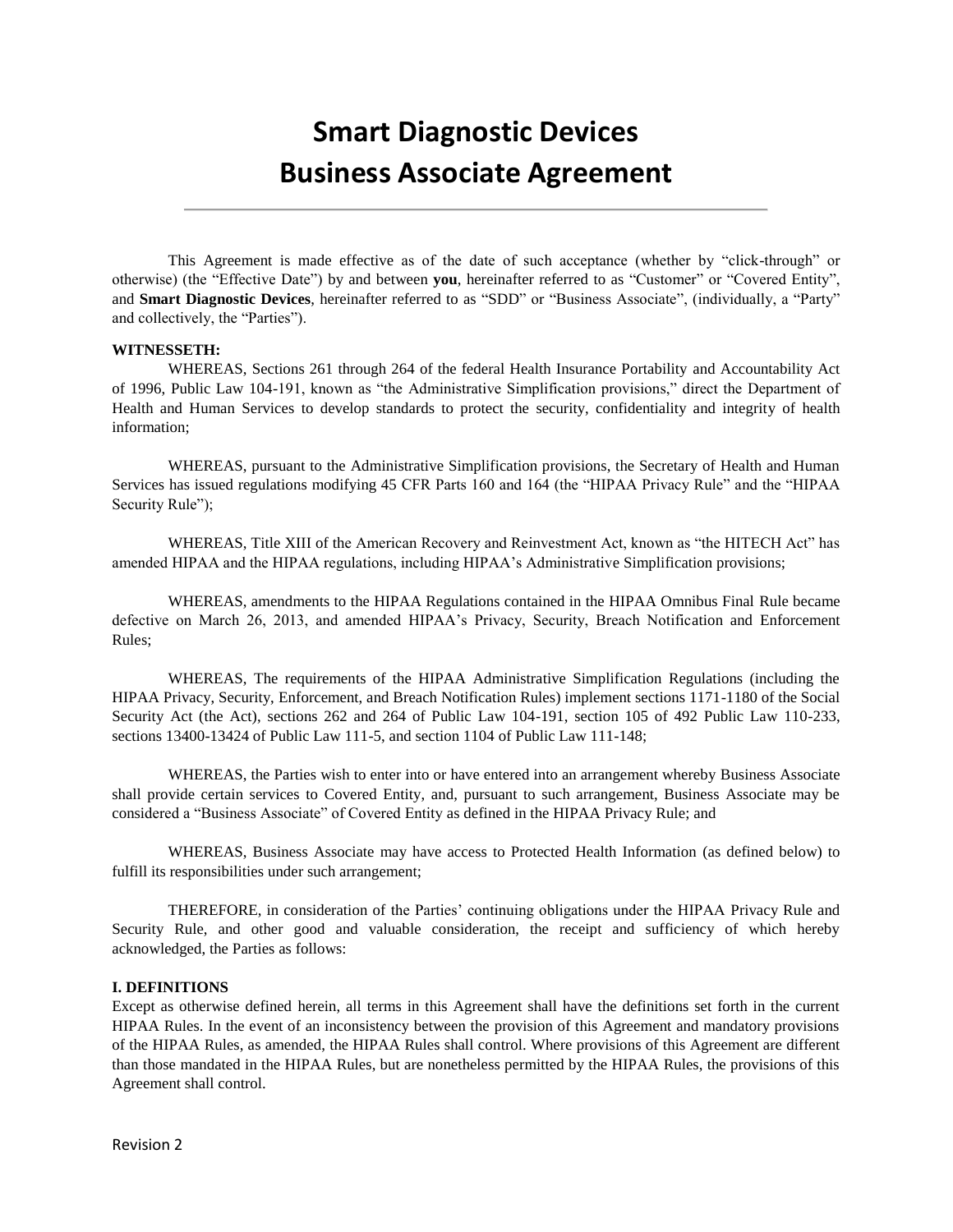# **Smart Diagnostic Devices Business Associate Agreement**

This Agreement is made effective as of the date of such acceptance (whether by "click-through" or otherwise) (the "Effective Date") by and between **you**, hereinafter referred to as "Customer" or "Covered Entity", and **Smart Diagnostic Devices**, hereinafter referred to as "SDD" or "Business Associate", (individually, a "Party" and collectively, the "Parties").

## **WITNESSETH:**

WHEREAS, Sections 261 through 264 of the federal Health Insurance Portability and Accountability Act of 1996, Public Law 104-191, known as "the Administrative Simplification provisions," direct the Department of Health and Human Services to develop standards to protect the security, confidentiality and integrity of health information;

WHEREAS, pursuant to the Administrative Simplification provisions, the Secretary of Health and Human Services has issued regulations modifying 45 CFR Parts 160 and 164 (the "HIPAA Privacy Rule" and the "HIPAA Security Rule");

WHEREAS, Title XIII of the American Recovery and Reinvestment Act, known as "the HITECH Act" has amended HIPAA and the HIPAA regulations, including HIPAA's Administrative Simplification provisions;

WHEREAS, amendments to the HIPAA Regulations contained in the HIPAA Omnibus Final Rule became defective on March 26, 2013, and amended HIPAA's Privacy, Security, Breach Notification and Enforcement Rules;

WHEREAS, The requirements of the HIPAA Administrative Simplification Regulations (including the HIPAA Privacy, Security, Enforcement, and Breach Notification Rules) implement sections 1171-1180 of the Social Security Act (the Act), sections 262 and 264 of Public Law 104-191, section 105 of 492 Public Law 110-233, sections 13400-13424 of Public Law 111-5, and section 1104 of Public Law 111-148;

WHEREAS, the Parties wish to enter into or have entered into an arrangement whereby Business Associate shall provide certain services to Covered Entity, and, pursuant to such arrangement, Business Associate may be considered a "Business Associate" of Covered Entity as defined in the HIPAA Privacy Rule; and

WHEREAS, Business Associate may have access to Protected Health Information (as defined below) to fulfill its responsibilities under such arrangement;

THEREFORE, in consideration of the Parties' continuing obligations under the HIPAA Privacy Rule and Security Rule, and other good and valuable consideration, the receipt and sufficiency of which hereby acknowledged, the Parties as follows:

#### **I. DEFINITIONS**

Except as otherwise defined herein, all terms in this Agreement shall have the definitions set forth in the current HIPAA Rules. In the event of an inconsistency between the provision of this Agreement and mandatory provisions of the HIPAA Rules, as amended, the HIPAA Rules shall control. Where provisions of this Agreement are different than those mandated in the HIPAA Rules, but are nonetheless permitted by the HIPAA Rules, the provisions of this Agreement shall control.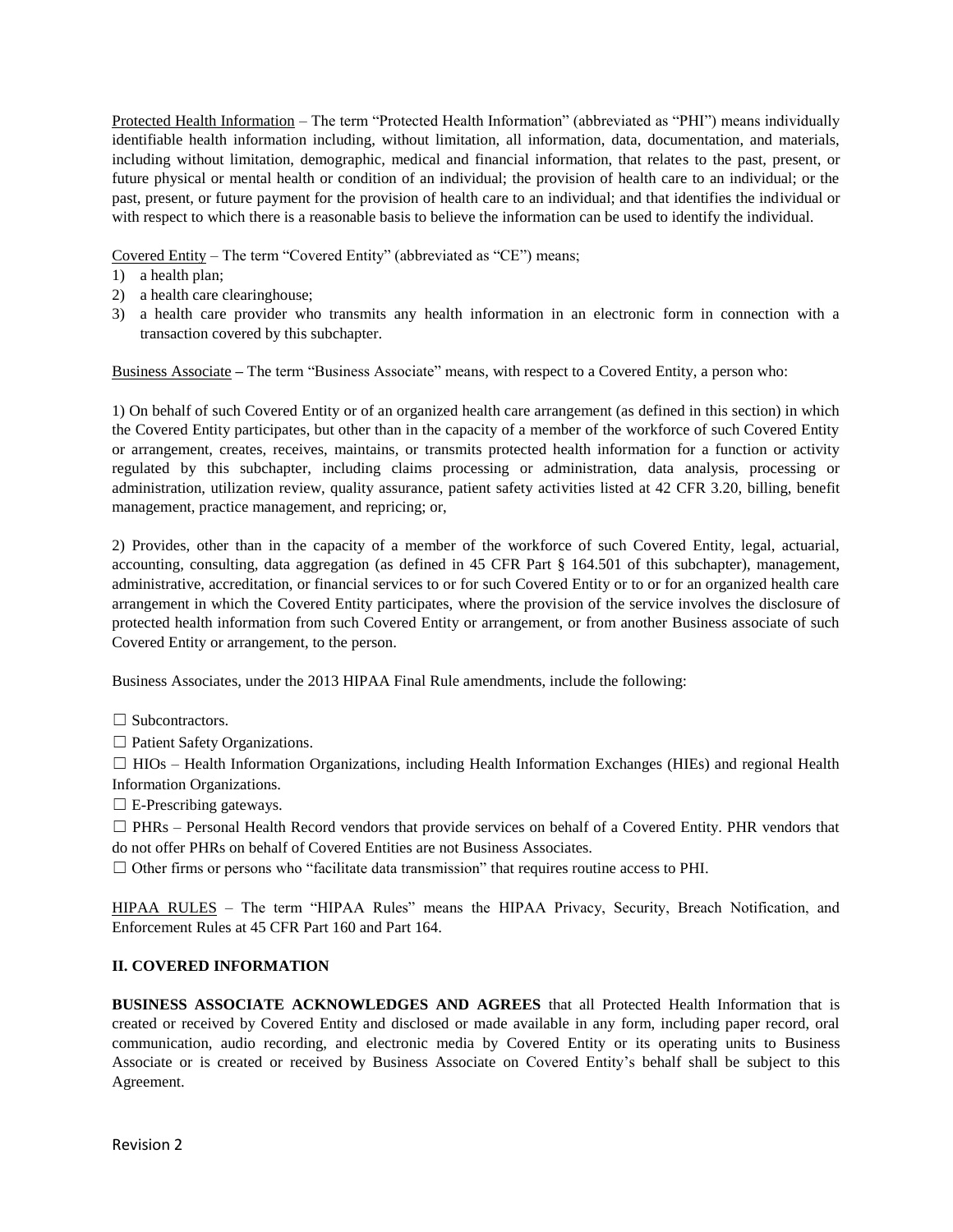Protected Health Information – The term "Protected Health Information" (abbreviated as "PHI") means individually identifiable health information including, without limitation, all information, data, documentation, and materials, including without limitation, demographic, medical and financial information, that relates to the past, present, or future physical or mental health or condition of an individual; the provision of health care to an individual; or the past, present, or future payment for the provision of health care to an individual; and that identifies the individual or with respect to which there is a reasonable basis to believe the information can be used to identify the individual.

Covered Entity – The term "Covered Entity" (abbreviated as "CE") means;

- 1) a health plan;
- 2) a health care clearinghouse;
- 3) a health care provider who transmits any health information in an electronic form in connection with a transaction covered by this subchapter.

Business Associate **–** The term "Business Associate" means, with respect to a Covered Entity, a person who:

1) On behalf of such Covered Entity or of an organized health care arrangement (as defined in this section) in which the Covered Entity participates, but other than in the capacity of a member of the workforce of such Covered Entity or arrangement, creates, receives, maintains, or transmits protected health information for a function or activity regulated by this subchapter, including claims processing or administration, data analysis, processing or administration, utilization review, quality assurance, patient safety activities listed at 42 CFR 3.20, billing, benefit management, practice management, and repricing; or,

2) Provides, other than in the capacity of a member of the workforce of such Covered Entity, legal, actuarial, accounting, consulting, data aggregation (as defined in 45 CFR Part § 164.501 of this subchapter), management, administrative, accreditation, or financial services to or for such Covered Entity or to or for an organized health care arrangement in which the Covered Entity participates, where the provision of the service involves the disclosure of protected health information from such Covered Entity or arrangement, or from another Business associate of such Covered Entity or arrangement, to the person.

Business Associates, under the 2013 HIPAA Final Rule amendments, include the following:

□ Subcontractors.

□ Patient Safety Organizations.

 $\Box$  HIOs – Health Information Organizations, including Health Information Exchanges (HIEs) and regional Health Information Organizations.

 $\Box$  E-Prescribing gateways.

☐ PHRs – Personal Health Record vendors that provide services on behalf of a Covered Entity. PHR vendors that do not offer PHRs on behalf of Covered Entities are not Business Associates.

 $\Box$  Other firms or persons who "facilitate data transmission" that requires routine access to PHI.

HIPAA RULES – The term "HIPAA Rules" means the HIPAA Privacy, Security, Breach Notification, and Enforcement Rules at 45 CFR Part 160 and Part 164.

# **II. COVERED INFORMATION**

**BUSINESS ASSOCIATE ACKNOWLEDGES AND AGREES** that all Protected Health Information that is created or received by Covered Entity and disclosed or made available in any form, including paper record, oral communication, audio recording, and electronic media by Covered Entity or its operating units to Business Associate or is created or received by Business Associate on Covered Entity's behalf shall be subject to this Agreement.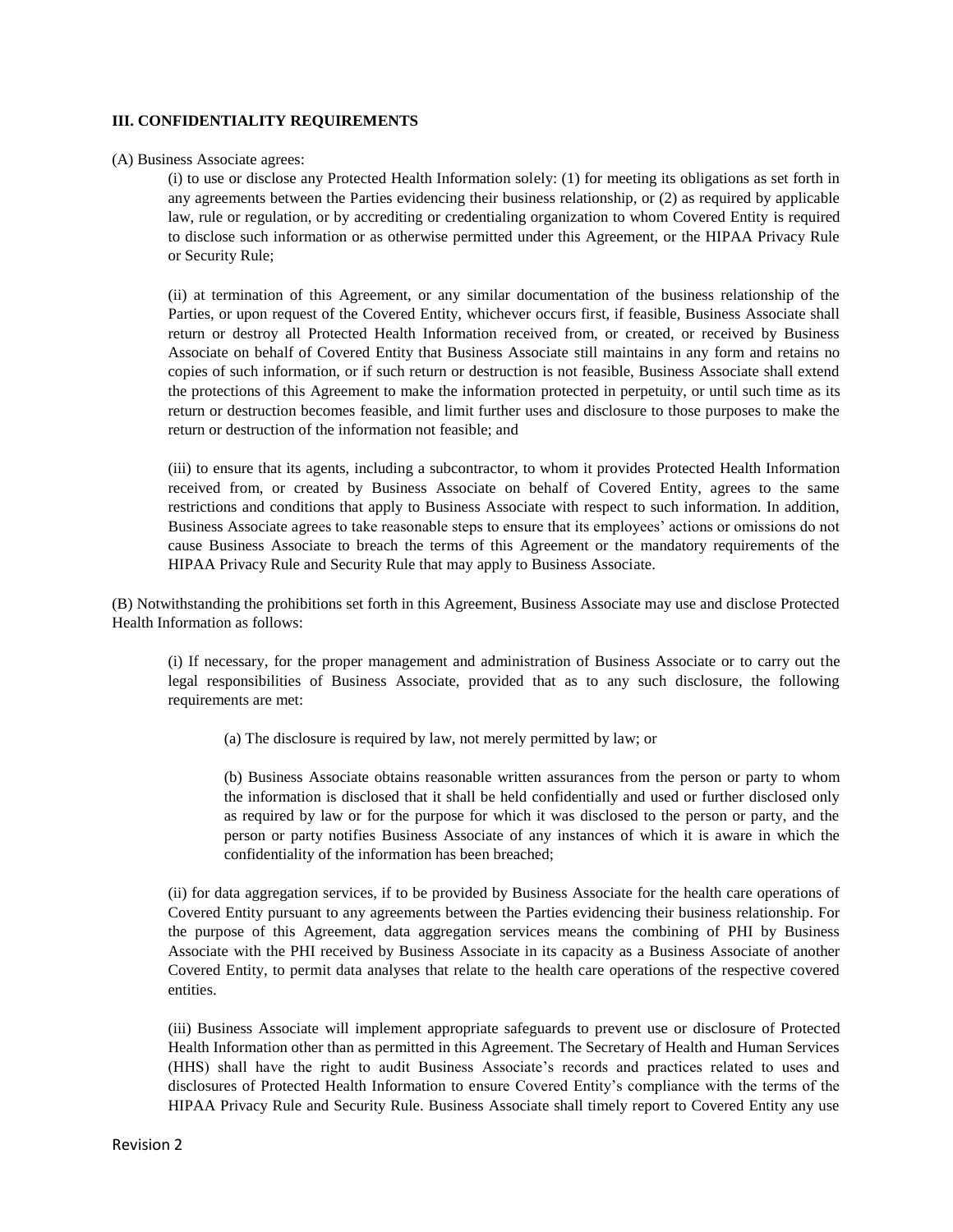#### **III. CONFIDENTIALITY REQUIREMENTS**

#### (A) Business Associate agrees:

(i) to use or disclose any Protected Health Information solely: (1) for meeting its obligations as set forth in any agreements between the Parties evidencing their business relationship, or (2) as required by applicable law, rule or regulation, or by accrediting or credentialing organization to whom Covered Entity is required to disclose such information or as otherwise permitted under this Agreement, or the HIPAA Privacy Rule or Security Rule;

(ii) at termination of this Agreement, or any similar documentation of the business relationship of the Parties, or upon request of the Covered Entity, whichever occurs first, if feasible, Business Associate shall return or destroy all Protected Health Information received from, or created, or received by Business Associate on behalf of Covered Entity that Business Associate still maintains in any form and retains no copies of such information, or if such return or destruction is not feasible, Business Associate shall extend the protections of this Agreement to make the information protected in perpetuity, or until such time as its return or destruction becomes feasible, and limit further uses and disclosure to those purposes to make the return or destruction of the information not feasible; and

(iii) to ensure that its agents, including a subcontractor, to whom it provides Protected Health Information received from, or created by Business Associate on behalf of Covered Entity, agrees to the same restrictions and conditions that apply to Business Associate with respect to such information. In addition, Business Associate agrees to take reasonable steps to ensure that its employees' actions or omissions do not cause Business Associate to breach the terms of this Agreement or the mandatory requirements of the HIPAA Privacy Rule and Security Rule that may apply to Business Associate.

(B) Notwithstanding the prohibitions set forth in this Agreement, Business Associate may use and disclose Protected Health Information as follows:

(i) If necessary, for the proper management and administration of Business Associate or to carry out the legal responsibilities of Business Associate, provided that as to any such disclosure, the following requirements are met:

(a) The disclosure is required by law, not merely permitted by law; or

(b) Business Associate obtains reasonable written assurances from the person or party to whom the information is disclosed that it shall be held confidentially and used or further disclosed only as required by law or for the purpose for which it was disclosed to the person or party, and the person or party notifies Business Associate of any instances of which it is aware in which the confidentiality of the information has been breached;

(ii) for data aggregation services, if to be provided by Business Associate for the health care operations of Covered Entity pursuant to any agreements between the Parties evidencing their business relationship. For the purpose of this Agreement, data aggregation services means the combining of PHI by Business Associate with the PHI received by Business Associate in its capacity as a Business Associate of another Covered Entity, to permit data analyses that relate to the health care operations of the respective covered entities.

(iii) Business Associate will implement appropriate safeguards to prevent use or disclosure of Protected Health Information other than as permitted in this Agreement. The Secretary of Health and Human Services (HHS) shall have the right to audit Business Associate's records and practices related to uses and disclosures of Protected Health Information to ensure Covered Entity's compliance with the terms of the HIPAA Privacy Rule and Security Rule. Business Associate shall timely report to Covered Entity any use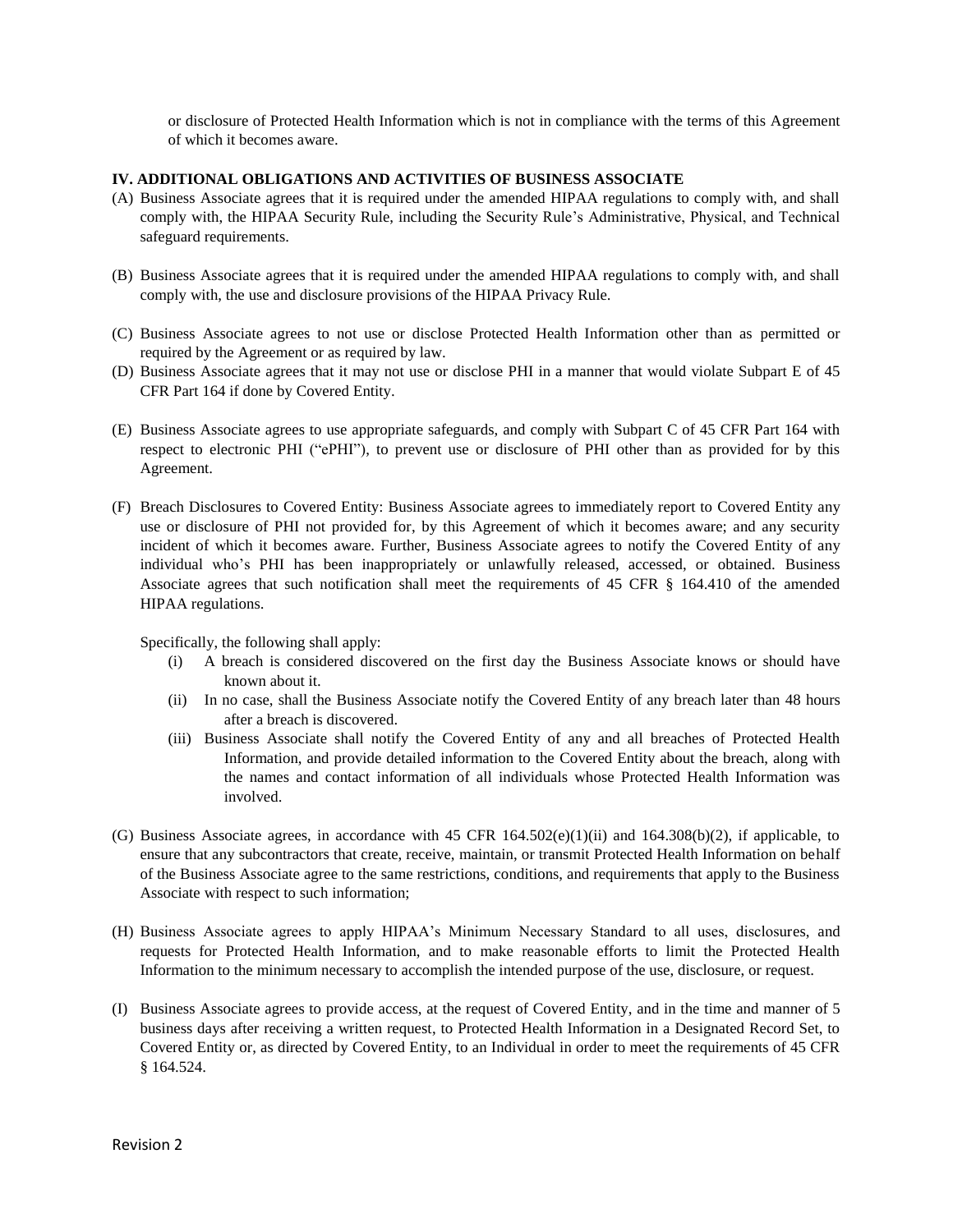or disclosure of Protected Health Information which is not in compliance with the terms of this Agreement of which it becomes aware.

# **IV. ADDITIONAL OBLIGATIONS AND ACTIVITIES OF BUSINESS ASSOCIATE**

- (A) Business Associate agrees that it is required under the amended HIPAA regulations to comply with, and shall comply with, the HIPAA Security Rule, including the Security Rule's Administrative, Physical, and Technical safeguard requirements.
- (B) Business Associate agrees that it is required under the amended HIPAA regulations to comply with, and shall comply with, the use and disclosure provisions of the HIPAA Privacy Rule.
- (C) Business Associate agrees to not use or disclose Protected Health Information other than as permitted or required by the Agreement or as required by law.
- (D) Business Associate agrees that it may not use or disclose PHI in a manner that would violate Subpart E of 45 CFR Part 164 if done by Covered Entity.
- (E) Business Associate agrees to use appropriate safeguards, and comply with Subpart C of 45 CFR Part 164 with respect to electronic PHI ("ePHI"), to prevent use or disclosure of PHI other than as provided for by this Agreement.
- (F) Breach Disclosures to Covered Entity: Business Associate agrees to immediately report to Covered Entity any use or disclosure of PHI not provided for, by this Agreement of which it becomes aware; and any security incident of which it becomes aware. Further, Business Associate agrees to notify the Covered Entity of any individual who's PHI has been inappropriately or unlawfully released, accessed, or obtained. Business Associate agrees that such notification shall meet the requirements of 45 CFR § 164.410 of the amended HIPAA regulations.

Specifically, the following shall apply:

- (i) A breach is considered discovered on the first day the Business Associate knows or should have known about it.
- (ii) In no case, shall the Business Associate notify the Covered Entity of any breach later than 48 hours after a breach is discovered.
- (iii) Business Associate shall notify the Covered Entity of any and all breaches of Protected Health Information, and provide detailed information to the Covered Entity about the breach, along with the names and contact information of all individuals whose Protected Health Information was involved.
- (G) Business Associate agrees, in accordance with 45 CFR 164.502(e)(1)(ii) and 164.308(b)(2), if applicable, to ensure that any subcontractors that create, receive, maintain, or transmit Protected Health Information on behalf of the Business Associate agree to the same restrictions, conditions, and requirements that apply to the Business Associate with respect to such information;
- (H) Business Associate agrees to apply HIPAA's Minimum Necessary Standard to all uses, disclosures, and requests for Protected Health Information, and to make reasonable efforts to limit the Protected Health Information to the minimum necessary to accomplish the intended purpose of the use, disclosure, or request.
- (I) Business Associate agrees to provide access, at the request of Covered Entity, and in the time and manner of 5 business days after receiving a written request, to Protected Health Information in a Designated Record Set, to Covered Entity or, as directed by Covered Entity, to an Individual in order to meet the requirements of 45 CFR § 164.524.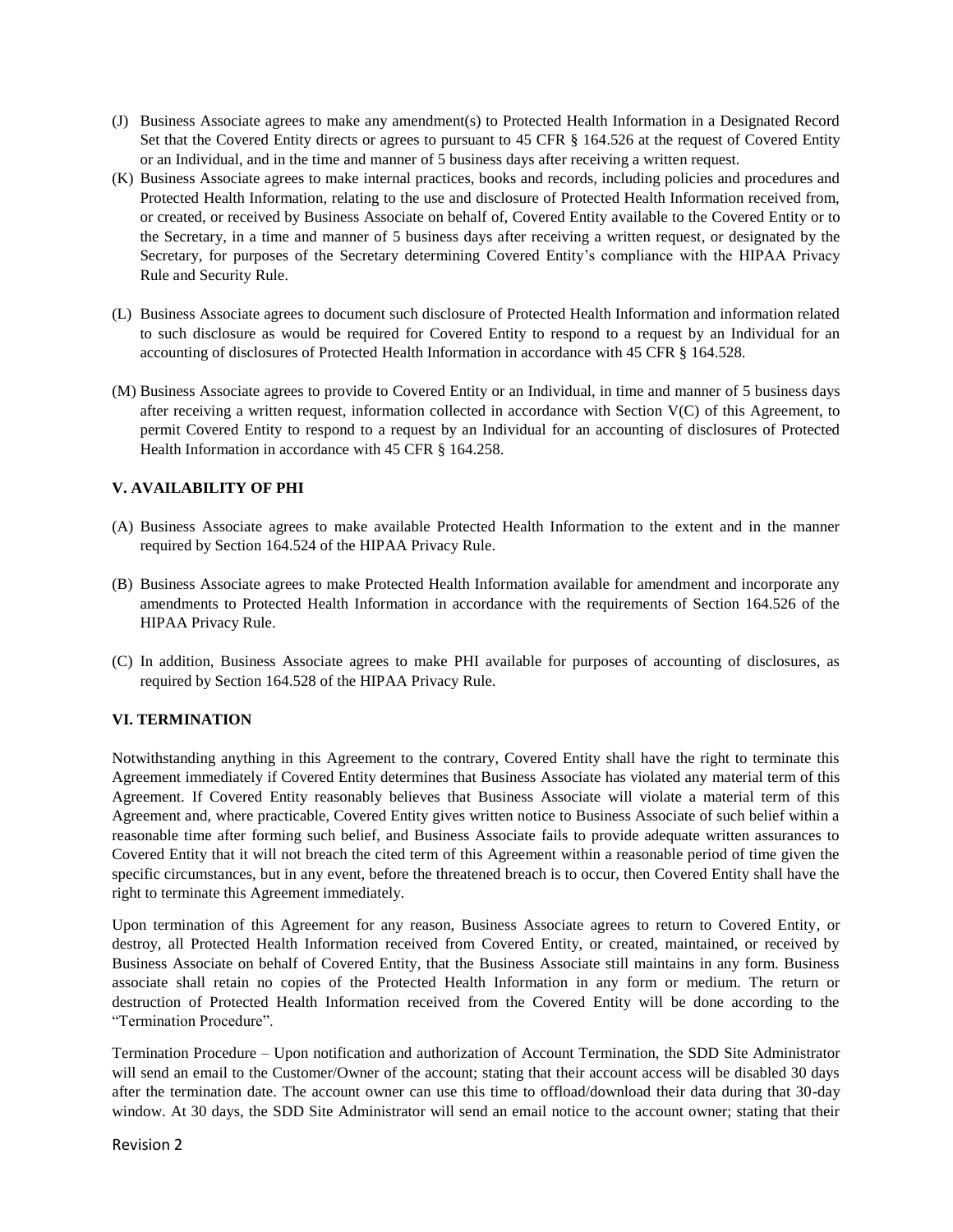- (J) Business Associate agrees to make any amendment(s) to Protected Health Information in a Designated Record Set that the Covered Entity directs or agrees to pursuant to 45 CFR § 164.526 at the request of Covered Entity or an Individual, and in the time and manner of 5 business days after receiving a written request.
- (K) Business Associate agrees to make internal practices, books and records, including policies and procedures and Protected Health Information, relating to the use and disclosure of Protected Health Information received from, or created, or received by Business Associate on behalf of, Covered Entity available to the Covered Entity or to the Secretary, in a time and manner of 5 business days after receiving a written request, or designated by the Secretary, for purposes of the Secretary determining Covered Entity's compliance with the HIPAA Privacy Rule and Security Rule.
- (L) Business Associate agrees to document such disclosure of Protected Health Information and information related to such disclosure as would be required for Covered Entity to respond to a request by an Individual for an accounting of disclosures of Protected Health Information in accordance with 45 CFR § 164.528.
- (M) Business Associate agrees to provide to Covered Entity or an Individual, in time and manner of 5 business days after receiving a written request, information collected in accordance with Section V(C) of this Agreement, to permit Covered Entity to respond to a request by an Individual for an accounting of disclosures of Protected Health Information in accordance with 45 CFR § 164.258.

# **V. AVAILABILITY OF PHI**

- (A) Business Associate agrees to make available Protected Health Information to the extent and in the manner required by Section 164.524 of the HIPAA Privacy Rule.
- (B) Business Associate agrees to make Protected Health Information available for amendment and incorporate any amendments to Protected Health Information in accordance with the requirements of Section 164.526 of the HIPAA Privacy Rule.
- (C) In addition, Business Associate agrees to make PHI available for purposes of accounting of disclosures, as required by Section 164.528 of the HIPAA Privacy Rule.

## **VI. TERMINATION**

Notwithstanding anything in this Agreement to the contrary, Covered Entity shall have the right to terminate this Agreement immediately if Covered Entity determines that Business Associate has violated any material term of this Agreement. If Covered Entity reasonably believes that Business Associate will violate a material term of this Agreement and, where practicable, Covered Entity gives written notice to Business Associate of such belief within a reasonable time after forming such belief, and Business Associate fails to provide adequate written assurances to Covered Entity that it will not breach the cited term of this Agreement within a reasonable period of time given the specific circumstances, but in any event, before the threatened breach is to occur, then Covered Entity shall have the right to terminate this Agreement immediately.

Upon termination of this Agreement for any reason, Business Associate agrees to return to Covered Entity, or destroy, all Protected Health Information received from Covered Entity, or created, maintained, or received by Business Associate on behalf of Covered Entity, that the Business Associate still maintains in any form. Business associate shall retain no copies of the Protected Health Information in any form or medium. The return or destruction of Protected Health Information received from the Covered Entity will be done according to the "Termination Procedure".

Termination Procedure – Upon notification and authorization of Account Termination, the SDD Site Administrator will send an email to the Customer/Owner of the account; stating that their account access will be disabled 30 days after the termination date. The account owner can use this time to offload/download their data during that 30-day window. At 30 days, the SDD Site Administrator will send an email notice to the account owner; stating that their

Revision 2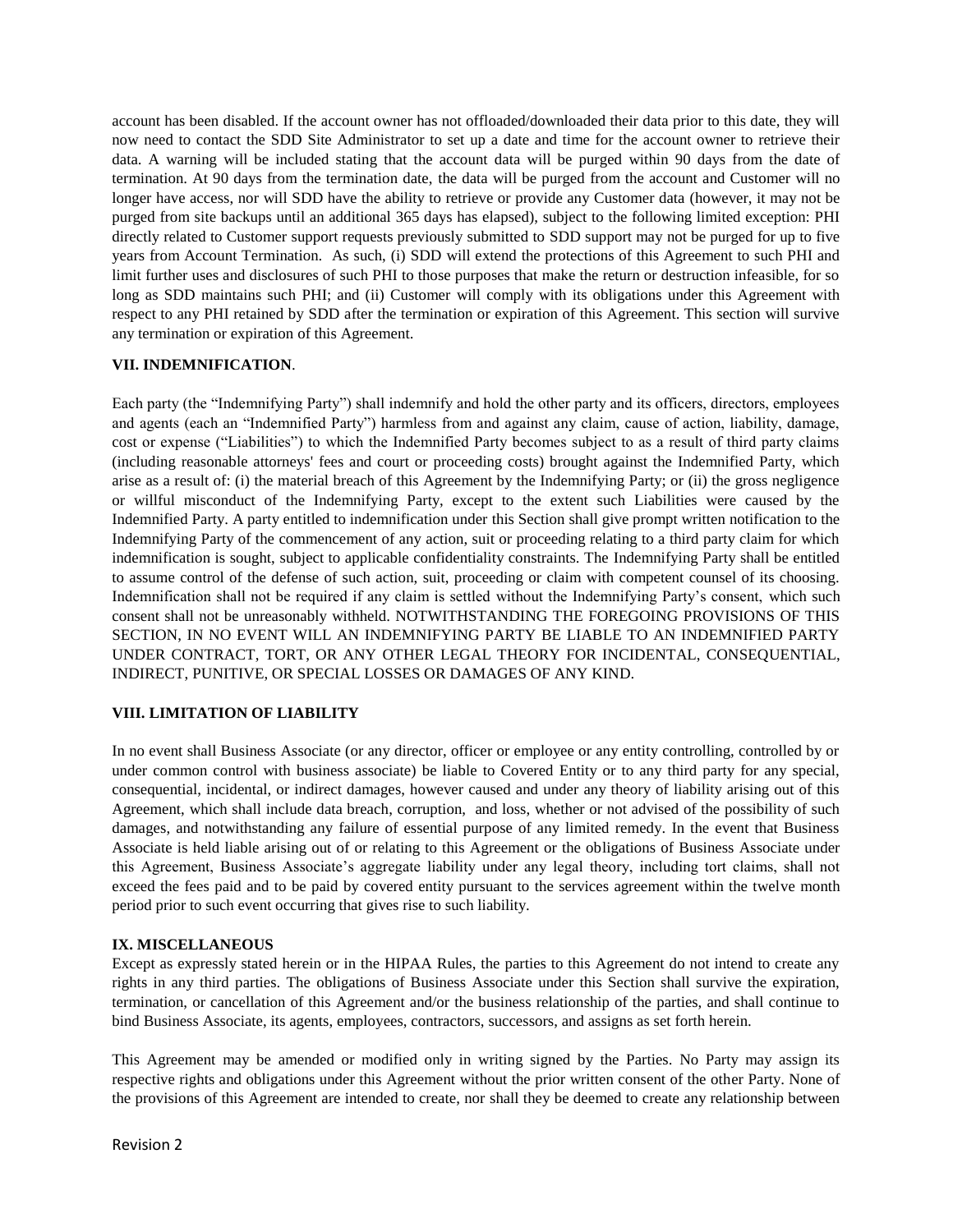account has been disabled. If the account owner has not offloaded/downloaded their data prior to this date, they will now need to contact the SDD Site Administrator to set up a date and time for the account owner to retrieve their data. A warning will be included stating that the account data will be purged within 90 days from the date of termination. At 90 days from the termination date, the data will be purged from the account and Customer will no longer have access, nor will SDD have the ability to retrieve or provide any Customer data (however, it may not be purged from site backups until an additional 365 days has elapsed), subject to the following limited exception: PHI directly related to Customer support requests previously submitted to SDD support may not be purged for up to five years from Account Termination. As such, (i) SDD will extend the protections of this Agreement to such PHI and limit further uses and disclosures of such PHI to those purposes that make the return or destruction infeasible, for so long as SDD maintains such PHI; and (ii) Customer will comply with its obligations under this Agreement with respect to any PHI retained by SDD after the termination or expiration of this Agreement. This section will survive any termination or expiration of this Agreement.

## **VII. INDEMNIFICATION**.

Each party (the "Indemnifying Party") shall indemnify and hold the other party and its officers, directors, employees and agents (each an "Indemnified Party") harmless from and against any claim, cause of action, liability, damage, cost or expense ("Liabilities") to which the Indemnified Party becomes subject to as a result of third party claims (including reasonable attorneys' fees and court or proceeding costs) brought against the Indemnified Party, which arise as a result of: (i) the material breach of this Agreement by the Indemnifying Party; or (ii) the gross negligence or willful misconduct of the Indemnifying Party, except to the extent such Liabilities were caused by the Indemnified Party. A party entitled to indemnification under this Section shall give prompt written notification to the Indemnifying Party of the commencement of any action, suit or proceeding relating to a third party claim for which indemnification is sought, subject to applicable confidentiality constraints. The Indemnifying Party shall be entitled to assume control of the defense of such action, suit, proceeding or claim with competent counsel of its choosing. Indemnification shall not be required if any claim is settled without the Indemnifying Party's consent, which such consent shall not be unreasonably withheld. NOTWITHSTANDING THE FOREGOING PROVISIONS OF THIS SECTION, IN NO EVENT WILL AN INDEMNIFYING PARTY BE LIABLE TO AN INDEMNIFIED PARTY UNDER CONTRACT, TORT, OR ANY OTHER LEGAL THEORY FOR INCIDENTAL, CONSEQUENTIAL, INDIRECT, PUNITIVE, OR SPECIAL LOSSES OR DAMAGES OF ANY KIND.

## **VIII. LIMITATION OF LIABILITY**

In no event shall Business Associate (or any director, officer or employee or any entity controlling, controlled by or under common control with business associate) be liable to Covered Entity or to any third party for any special, consequential, incidental, or indirect damages, however caused and under any theory of liability arising out of this Agreement, which shall include data breach, corruption, and loss, whether or not advised of the possibility of such damages, and notwithstanding any failure of essential purpose of any limited remedy. In the event that Business Associate is held liable arising out of or relating to this Agreement or the obligations of Business Associate under this Agreement, Business Associate's aggregate liability under any legal theory, including tort claims, shall not exceed the fees paid and to be paid by covered entity pursuant to the services agreement within the twelve month period prior to such event occurring that gives rise to such liability.

## **IX. MISCELLANEOUS**

Except as expressly stated herein or in the HIPAA Rules, the parties to this Agreement do not intend to create any rights in any third parties. The obligations of Business Associate under this Section shall survive the expiration, termination, or cancellation of this Agreement and/or the business relationship of the parties, and shall continue to bind Business Associate, its agents, employees, contractors, successors, and assigns as set forth herein.

This Agreement may be amended or modified only in writing signed by the Parties. No Party may assign its respective rights and obligations under this Agreement without the prior written consent of the other Party. None of the provisions of this Agreement are intended to create, nor shall they be deemed to create any relationship between